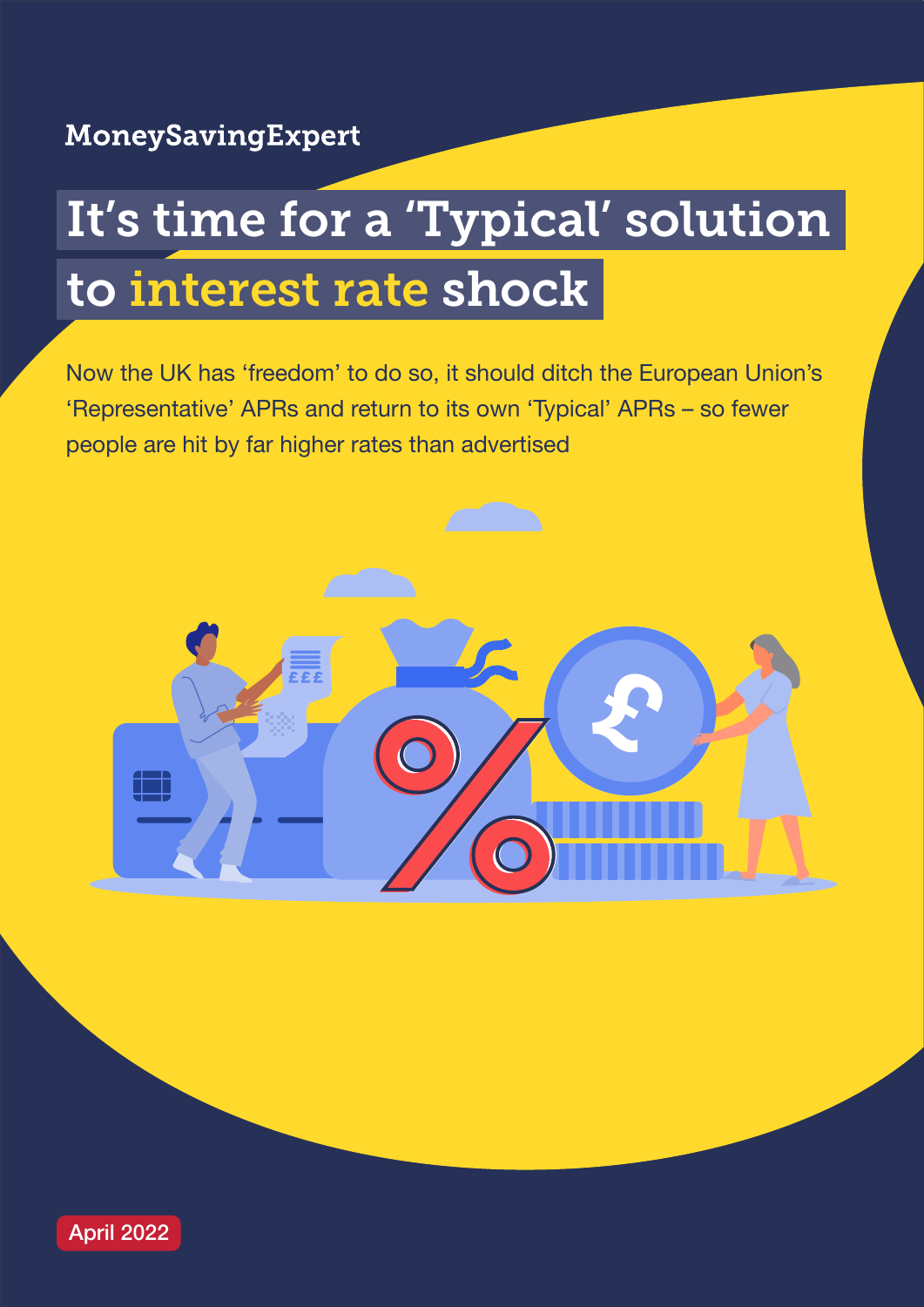# It's time for a 'Typical' solution to interest rate shock

Now the UK has 'freedom' to do so, it should ditch the European Union's 'Representative' APRs and return to its own 'Typical' APRs – so fewer people are hit by far higher rates than advertised



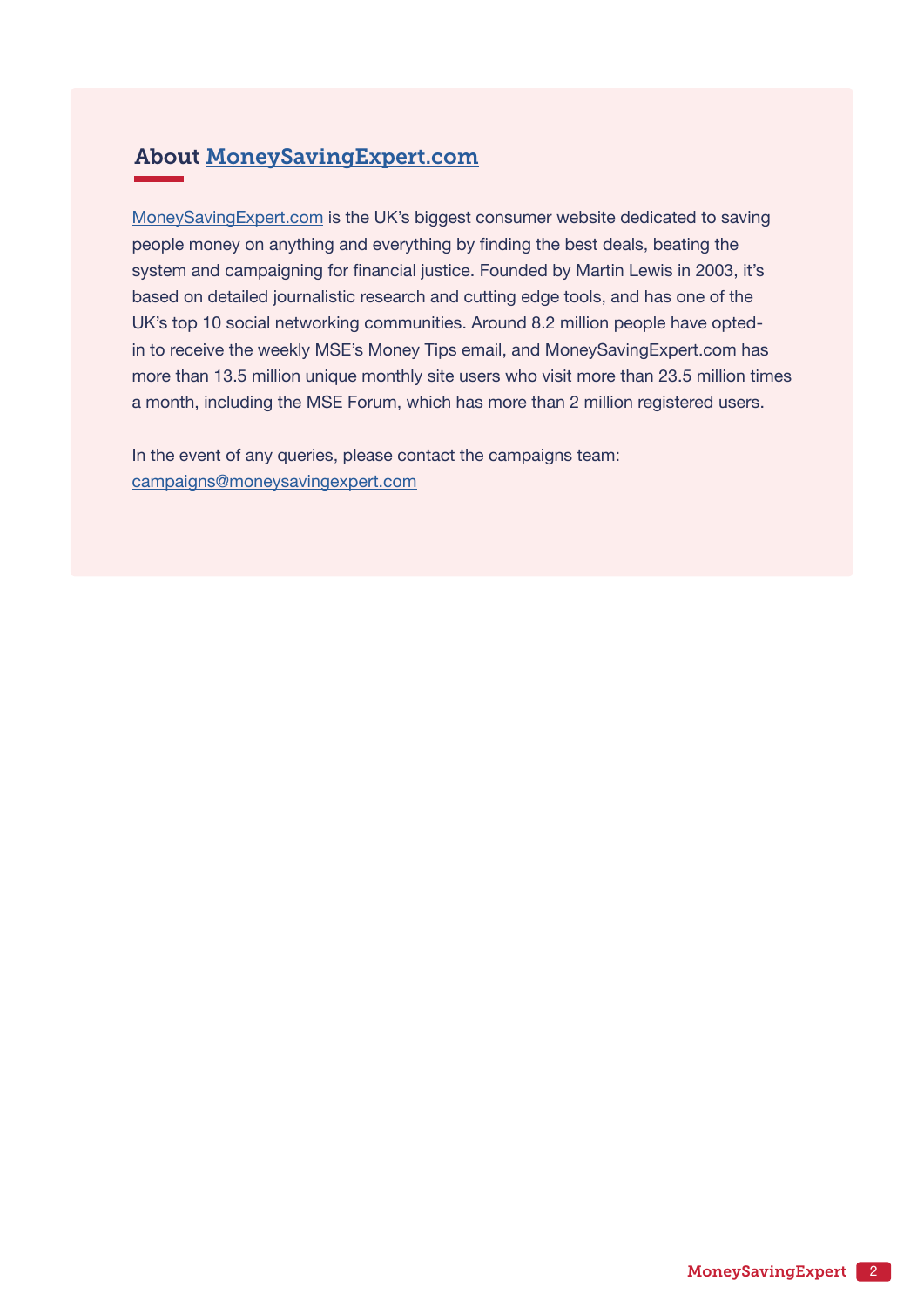### About [MoneySavingExpert.com](http://www.moneysavingexpert.com)

[MoneySavingExpert.com](http://www.moneysavingexpert.com) is the UK's biggest consumer website dedicated to saving people money on anything and everything by finding the best deals, beating the system and campaigning for financial justice. Founded by Martin Lewis in 2003, it's based on detailed journalistic research and cutting edge tools, and has one of the UK's top 10 social networking communities. Around 8.2 million people have optedin to receive the weekly MSE's Money Tips email, and MoneySavingExpert.com has more than 13.5 million unique monthly site users who visit more than 23.5 million times a month, including the MSE Forum, which has more than 2 million registered users.

In the event of any queries, please contact the campaigns team: [campaigns@moneysavingexpert.com](mailto:campaigns%40moneysavingexpert.com?subject=)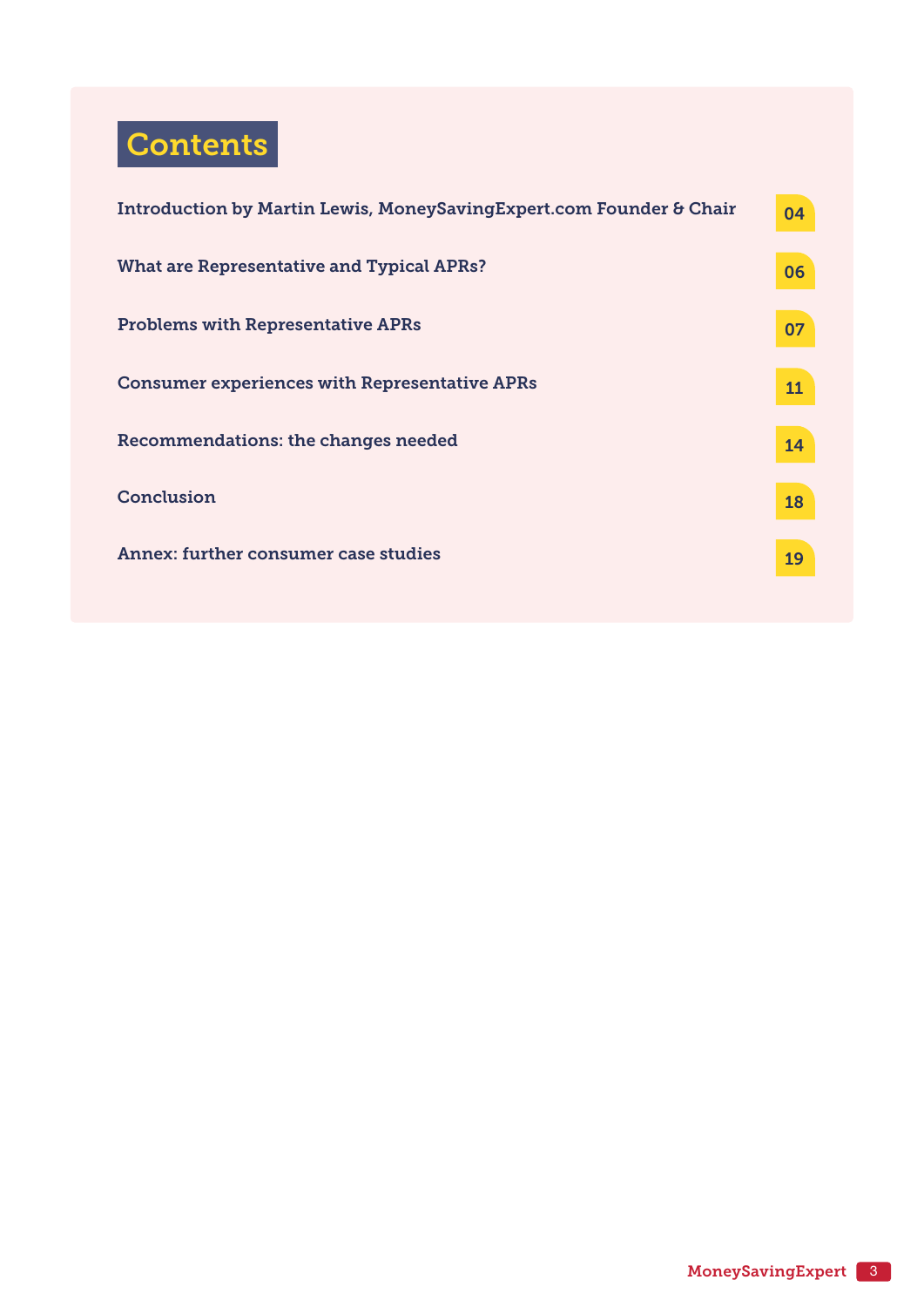## **Contents**

| Introduction by Martin Lewis, MoneySavingExpert.com Founder & Chair | 04 |
|---------------------------------------------------------------------|----|
| What are Representative and Typical APRs?                           | 06 |
| <b>Problems with Representative APRs</b>                            | 07 |
| <b>Consumer experiences with Representative APRs</b>                | 11 |
| Recommendations: the changes needed                                 | 14 |
| Conclusion                                                          | 18 |
| Annex: further consumer case studies                                | 19 |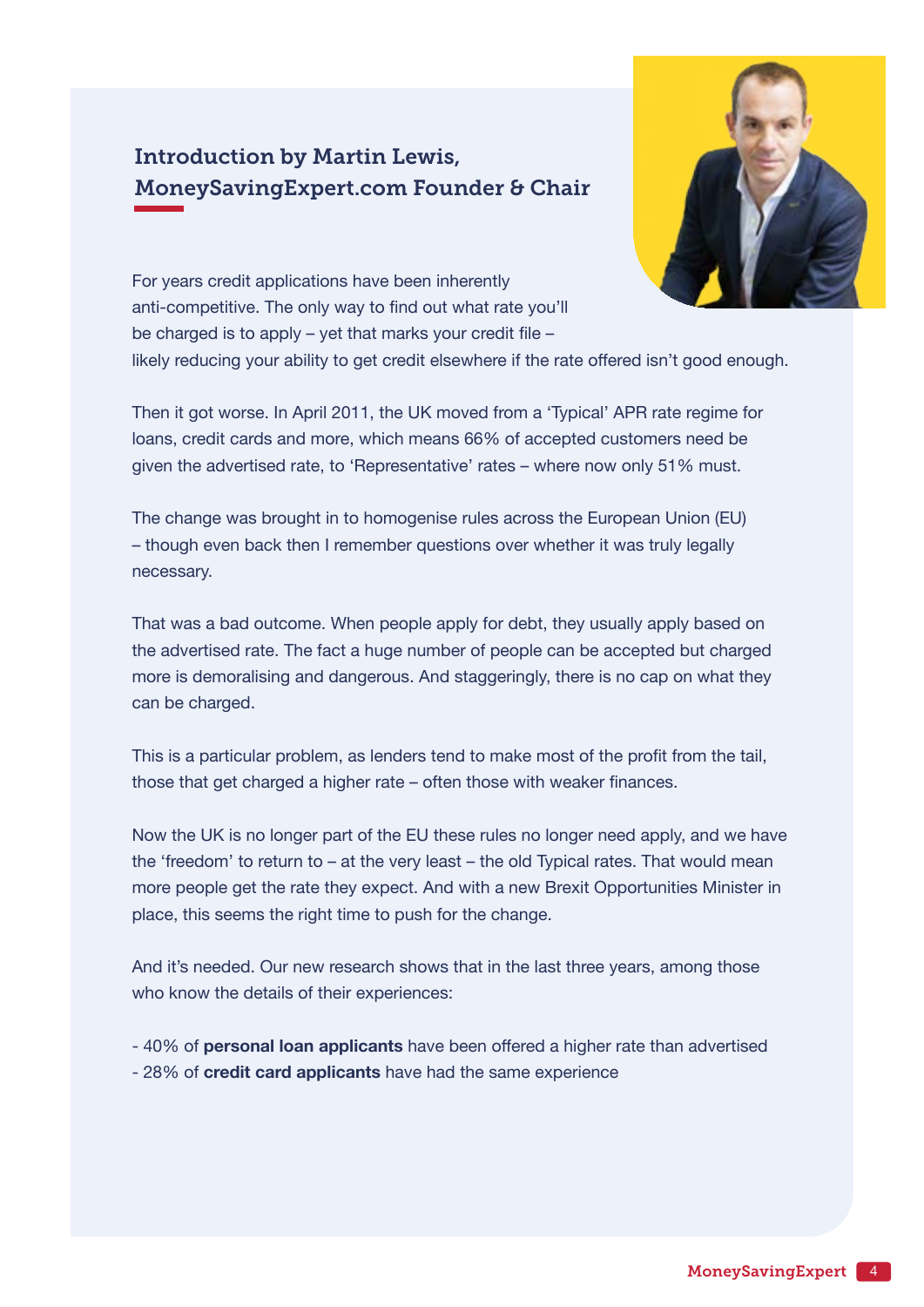## <span id="page-3-0"></span>Introduction by Martin Lewis, MoneySavingExpert.com Founder & Chair



For years credit applications have been inherently anti-competitive. The only way to find out what rate you'll be charged is to apply – yet that marks your credit file –

likely reducing your ability to get credit elsewhere if the rate offered isn't good enough.

Then it got worse. In April 2011, the UK moved from a 'Typical' APR rate regime for loans, credit cards and more, which means 66% of accepted customers need be given the advertised rate, to 'Representative' rates – where now only 51% must.

The change was brought in to homogenise rules across the European Union (EU) – though even back then I remember questions over whether it was truly legally necessary.

That was a bad outcome. When people apply for debt, they usually apply based on the advertised rate. The fact a huge number of people can be accepted but charged more is demoralising and dangerous. And staggeringly, there is no cap on what they can be charged.

This is a particular problem, as lenders tend to make most of the profit from the tail, those that get charged a higher rate – often those with weaker finances.

Now the UK is no longer part of the EU these rules no longer need apply, and we have the 'freedom' to return to – at the very least – the old Typical rates. That would mean more people get the rate they expect. And with a new Brexit Opportunities Minister in place, this seems the right time to push for the change.

And it's needed. Our new research shows that in the last three years, among those who know the details of their experiences:

- 40% of **personal loan applicants** have been offered a higher rate than advertised - 28% of **credit card applicants** have had the same experience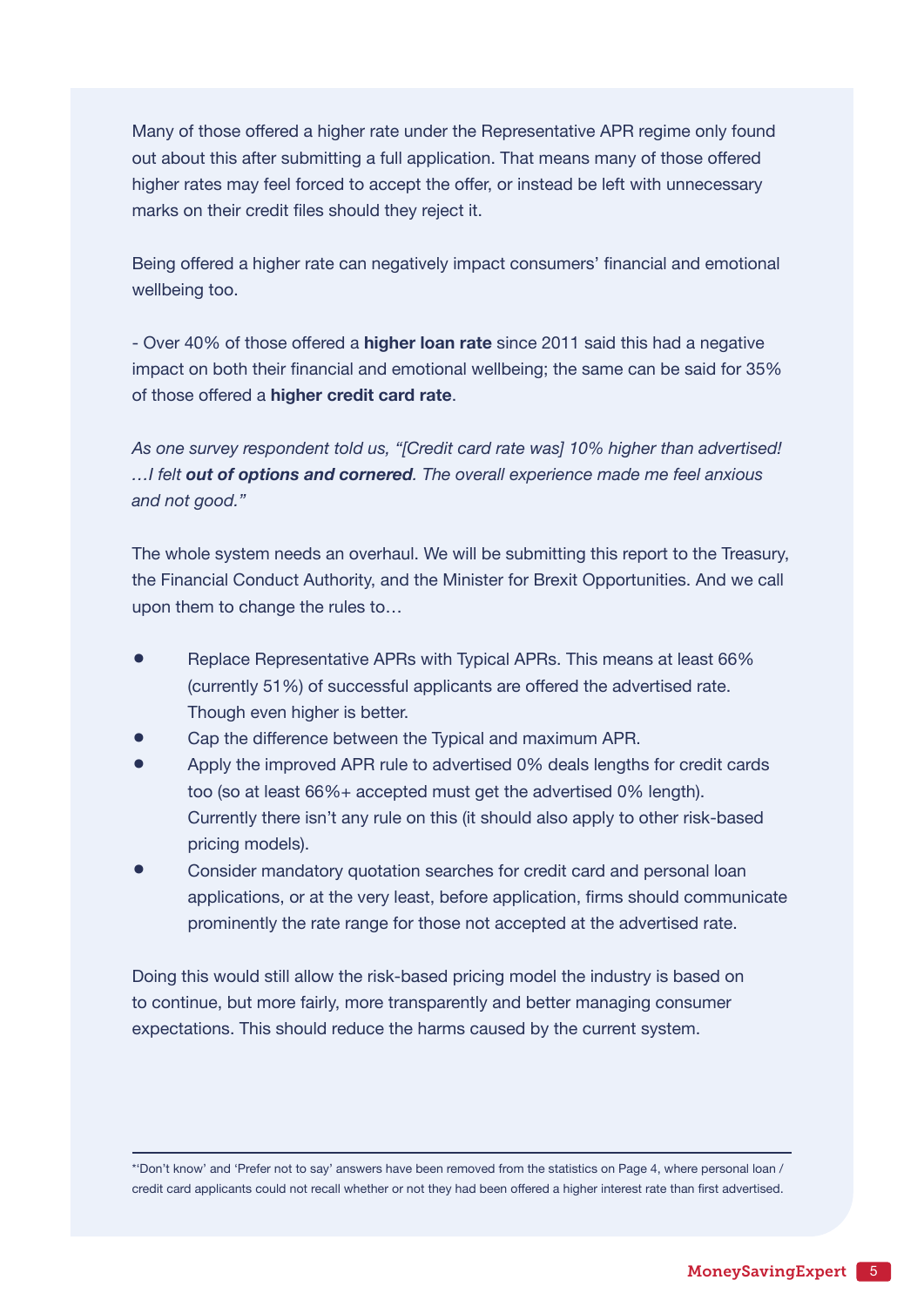Many of those offered a higher rate under the Representative APR regime only found out about this after submitting a full application. That means many of those offered higher rates may feel forced to accept the offer, or instead be left with unnecessary marks on their credit files should they reject it.

Being offered a higher rate can negatively impact consumers' financial and emotional wellbeing too.

- Over 40% of those offered a **higher loan rate** since 2011 said this had a negative impact on both their financial and emotional wellbeing; the same can be said for 35% of those offered a **higher credit card rate**.

*As one survey respondent told us, "[Credit card rate was] 10% higher than advertised! …I felt out of options and cornered. The overall experience made me feel anxious and not good."*

The whole system needs an overhaul. We will be submitting this report to the Treasury, the Financial Conduct Authority, and the Minister for Brexit Opportunities. And we call upon them to change the rules to…

- Replace Representative APRs with Typical APRs. This means at least 66% (currently 51%) of successful applicants are offered the advertised rate. Though even higher is better.
- Cap the difference between the Typical and maximum APR.
- Apply the improved APR rule to advertised 0% deals lengths for credit cards too (so at least 66%+ accepted must get the advertised 0% length). Currently there isn't any rule on this (it should also apply to other risk-based pricing models).
- Consider mandatory quotation searches for credit card and personal loan applications, or at the very least, before application, firms should communicate prominently the rate range for those not accepted at the advertised rate.

Doing this would still allow the risk-based pricing model the industry is based on to continue, but more fairly, more transparently and better managing consumer expectations. This should reduce the harms caused by the current system.

\*'Don't know' and 'Prefer not to say' answers have been removed from the statistics on Page 4, where personal loan / credit card applicants could not recall whether or not they had been offered a higher interest rate than first advertised.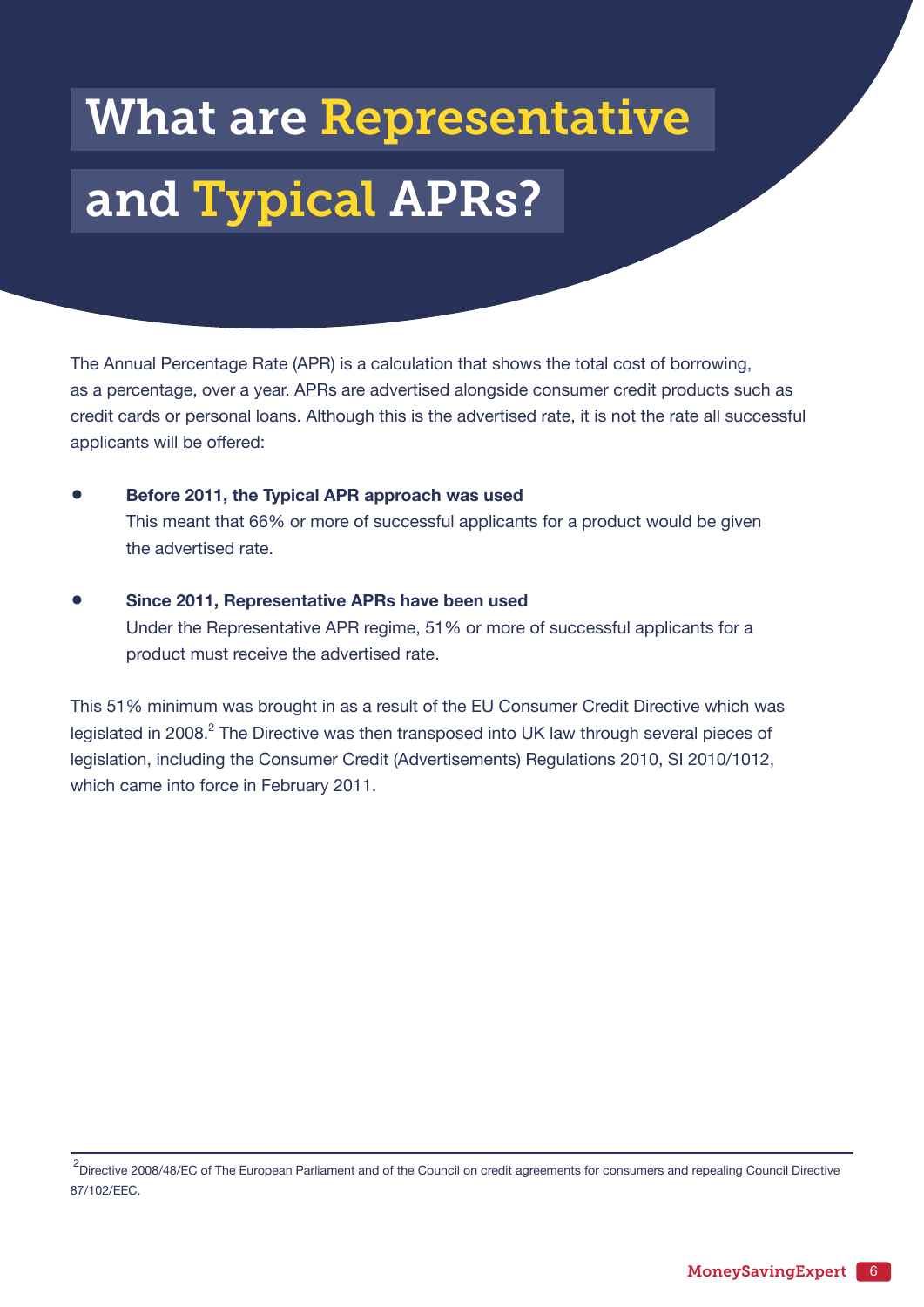# <span id="page-5-0"></span>What are Representative and Typical APRs?

The Annual Percentage Rate (APR) is a calculation that shows the total cost of borrowing, as a percentage, over a year. APRs are advertised alongside consumer credit products such as credit cards or personal loans. Although this is the advertised rate, it is not the rate all successful applicants will be offered:

- **Before 2011, the Typical APR approach was used** This meant that 66% or more of successful applicants for a product would be given the advertised rate.
- **Since 2011, Representative APRs have been used** Under the Representative APR regime, 51% or more of successful applicants for a product must receive the advertised rate.

This 51% minimum was brought in as a result of the EU Consumer Credit Directive which was legislated in 2008. $^2$  The Directive was then transposed into UK law through several pieces of legislation, including the Consumer Credit (Advertisements) Regulations 2010, SI 2010/1012, which came into force in February 2011.

<sup>&</sup>lt;sup>2</sup>Directive 2008/48/EC of The European Parliament and of the Council on credit agreements for consumers and repealing Council Directive 87/102/EEC.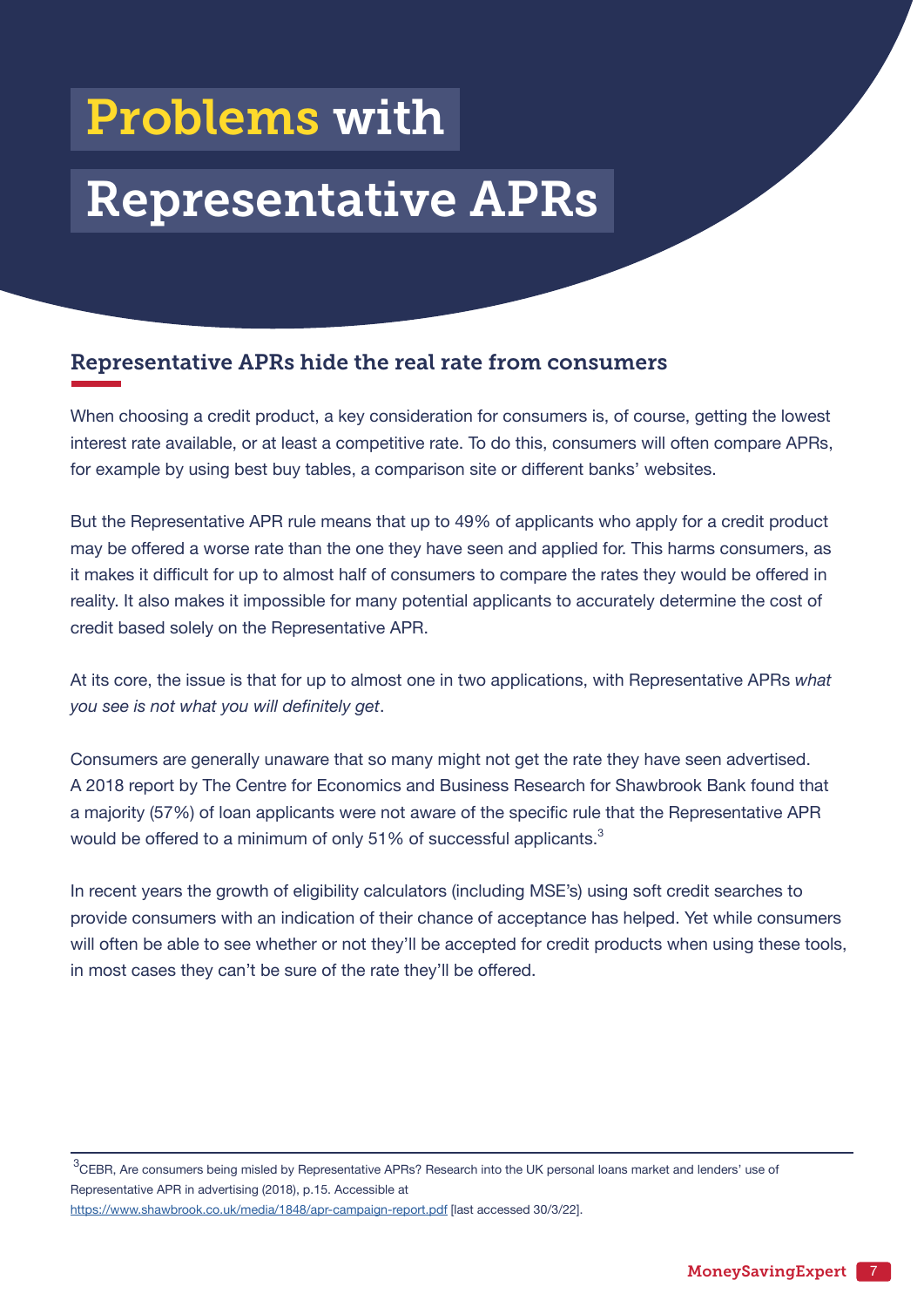## <span id="page-6-0"></span>Problems with

## Representative APRs

### Representative APRs hide the real rate from consumers

When choosing a credit product, a key consideration for consumers is, of course, getting the lowest interest rate available, or at least a competitive rate. To do this, consumers will often compare APRs, for example by using best buy tables, a comparison site or different banks' websites.

But the Representative APR rule means that up to 49% of applicants who apply for a credit product may be offered a worse rate than the one they have seen and applied for. This harms consumers, as it makes it difficult for up to almost half of consumers to compare the rates they would be offered in reality. It also makes it impossible for many potential applicants to accurately determine the cost of credit based solely on the Representative APR.

At its core, the issue is that for up to almost one in two applications, with Representative APRs *what you see is not what you will definitely get*.

Consumers are generally unaware that so many might not get the rate they have seen advertised. A 2018 report by The Centre for Economics and Business Research for Shawbrook Bank found that a majority (57%) of loan applicants were not aware of the specific rule that the Representative APR would be offered to a minimum of only 51% of successful applicants. $^3$ 

In recent years the growth of eligibility calculators (including MSE's) using soft credit searches to provide consumers with an indication of their chance of acceptance has helped. Yet while consumers will often be able to see whether or not they'll be accepted for credit products when using these tools, in most cases they can't be sure of the rate they'll be offered.

 $3$ CEBR, Are consumers being misled by Representative APRs? Research into the UK personal loans market and lenders' use of Representative APR in advertising (2018), p.15. Accessible at <https://www.shawbrook.co.uk/media/1848/apr-campaign-report.pdf> [last accessed 30/3/22].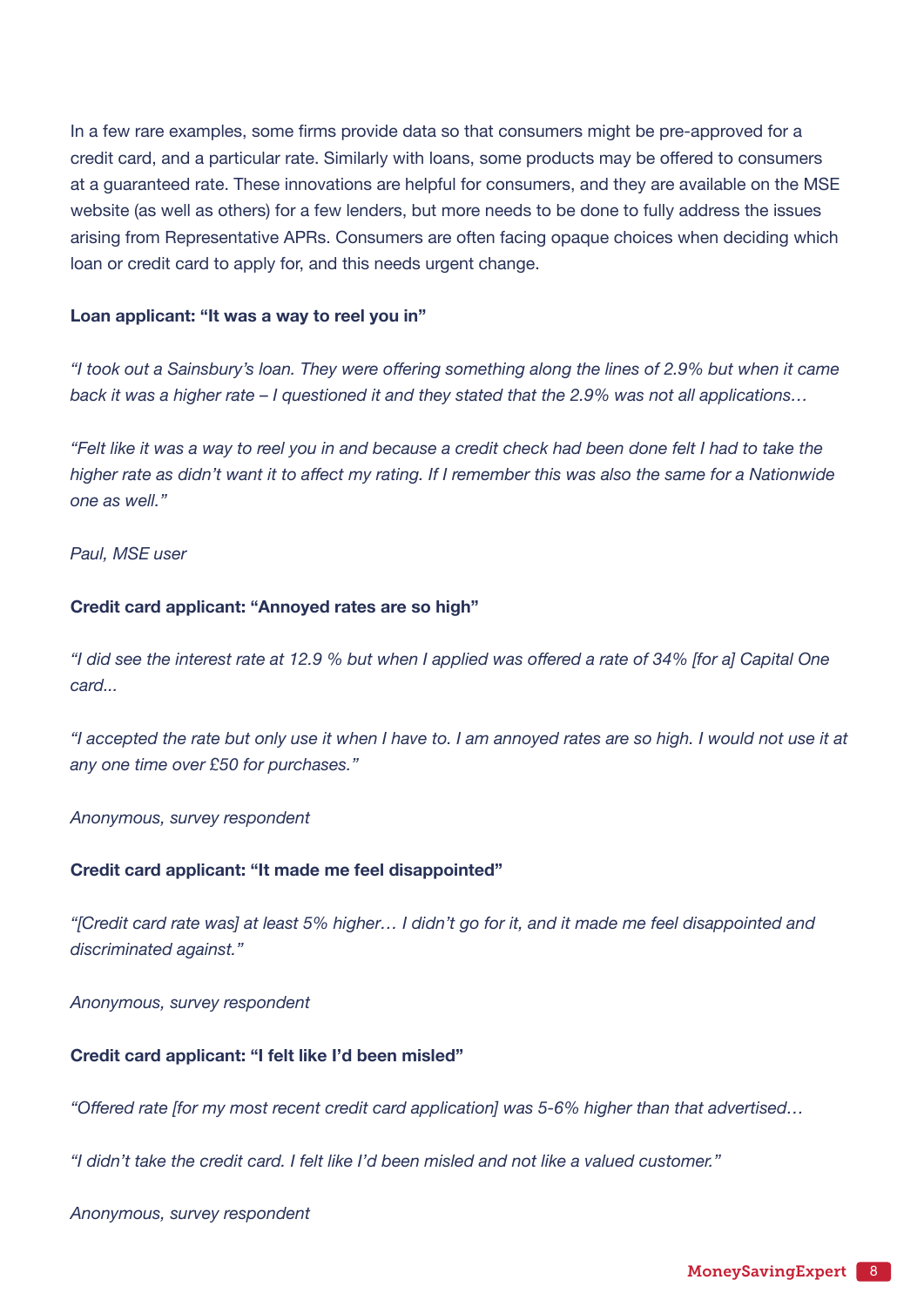In a few rare examples, some firms provide data so that consumers might be pre-approved for a credit card, and a particular rate. Similarly with loans, some products may be offered to consumers at a guaranteed rate. These innovations are helpful for consumers, and they are available on the MSE website (as well as others) for a few lenders, but more needs to be done to fully address the issues arising from Representative APRs. Consumers are often facing opaque choices when deciding which loan or credit card to apply for, and this needs urgent change.

#### **Loan applicant: "It was a way to reel you in"**

*"I took out a Sainsbury's loan. They were offering something along the lines of 2.9% but when it came back it was a higher rate – I questioned it and they stated that the 2.9% was not all applications…* 

*"Felt like it was a way to reel you in and because a credit check had been done felt I had to take the higher rate as didn't want it to affect my rating. If I remember this was also the same for a Nationwide one as well."*

#### *Paul, MSE user*

#### **Credit card applicant: "Annoyed rates are so high"**

*"I did see the interest rate at 12.9 % but when I applied was offered a rate of 34% [for a] Capital One card...*

*"I accepted the rate but only use it when I have to. I am annoyed rates are so high. I would not use it at any one time over £50 for purchases."*

*Anonymous, survey respondent*

#### **Credit card applicant: "It made me feel disappointed"**

*"[Credit card rate was] at least 5% higher… I didn't go for it, and it made me feel disappointed and discriminated against."*

*Anonymous, survey respondent*

#### **Credit card applicant: "I felt like I'd been misled"**

*"Offered rate [for my most recent credit card application] was 5-6% higher than that advertised…*

*"I didn't take the credit card. I felt like I'd been misled and not like a valued customer."*

*Anonymous, survey respondent*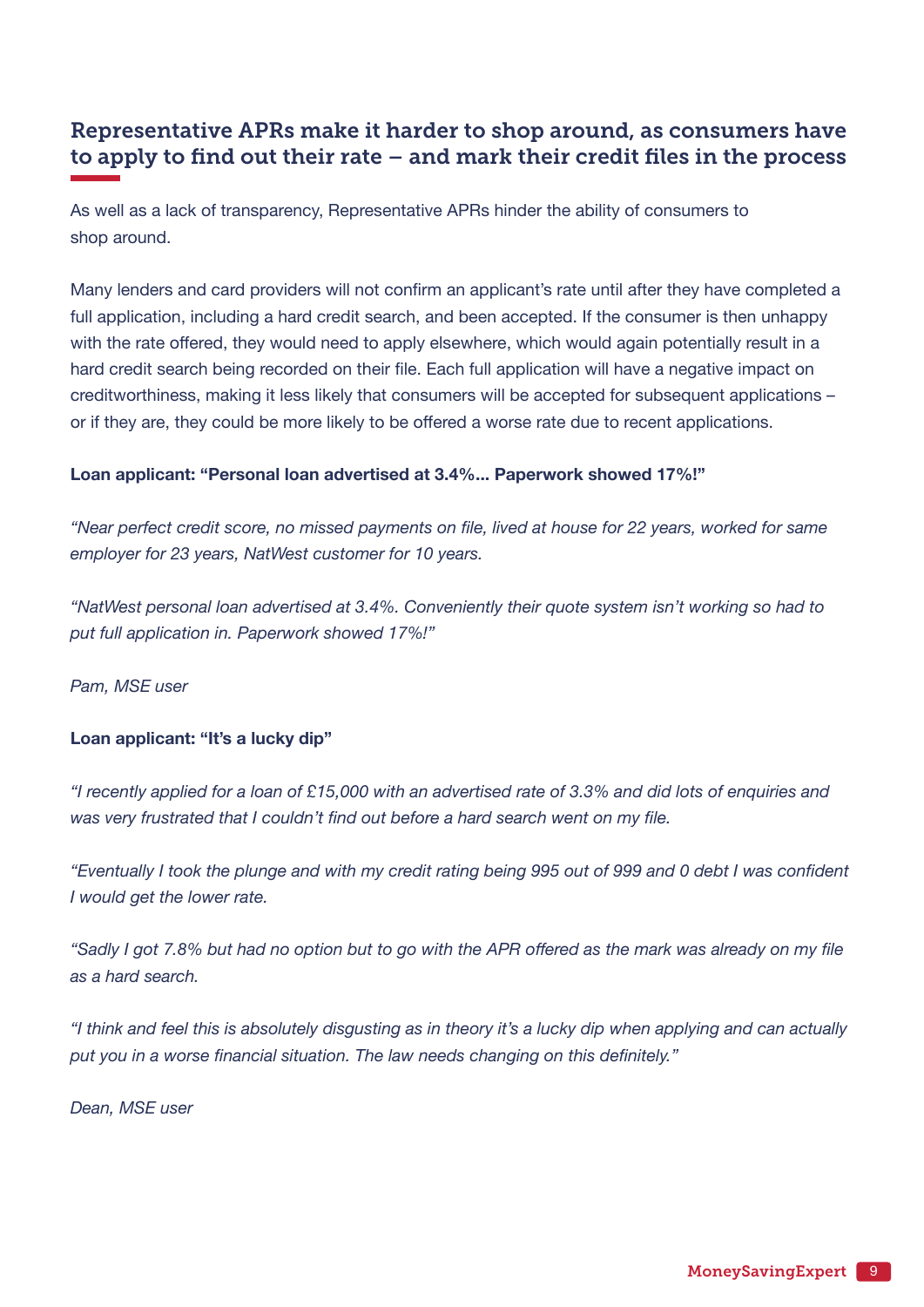### Representative APRs make it harder to shop around, as consumers have to apply to find out their rate – and mark their credit files in the process

As well as a lack of transparency, Representative APRs hinder the ability of consumers to shop around.

Many lenders and card providers will not confirm an applicant's rate until after they have completed a full application, including a hard credit search, and been accepted. If the consumer is then unhappy with the rate offered, they would need to apply elsewhere, which would again potentially result in a hard credit search being recorded on their file. Each full application will have a negative impact on creditworthiness, making it less likely that consumers will be accepted for subsequent applications – or if they are, they could be more likely to be offered a worse rate due to recent applications.

#### **Loan applicant: "Personal loan advertised at 3.4%... Paperwork showed 17%!"**

*"Near perfect credit score, no missed payments on file, lived at house for 22 years, worked for same employer for 23 years, NatWest customer for 10 years.*

*"NatWest personal loan advertised at 3.4%. Conveniently their quote system isn't working so had to put full application in. Paperwork showed 17%!"* 

*Pam, MSE user*

#### **Loan applicant: "It's a lucky dip"**

*"I recently applied for a loan of £15,000 with an advertised rate of 3.3% and did lots of enquiries and was very frustrated that I couldn't find out before a hard search went on my file.*

*"Eventually I took the plunge and with my credit rating being 995 out of 999 and 0 debt I was confident I would get the lower rate.*

*"Sadly I got 7.8% but had no option but to go with the APR offered as the mark was already on my file as a hard search.*

*"I think and feel this is absolutely disgusting as in theory it's a lucky dip when applying and can actually put you in a worse financial situation. The law needs changing on this definitely."*

*Dean, MSE user*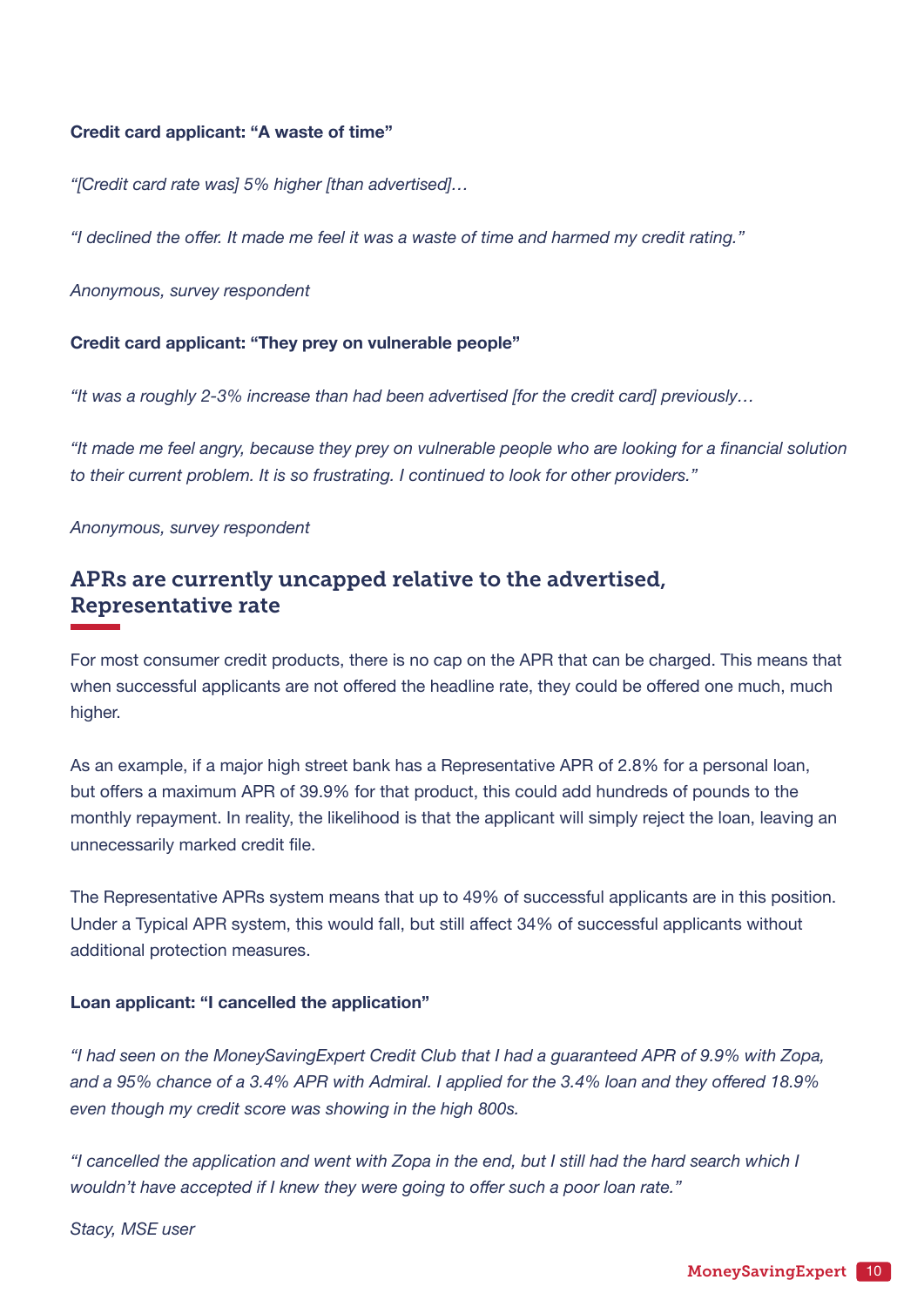#### **Credit card applicant: "A waste of time"**

*"[Credit card rate was] 5% higher [than advertised]…* 

*"I declined the offer. It made me feel it was a waste of time and harmed my credit rating."*

*Anonymous, survey respondent*

#### **Credit card applicant: "They prey on vulnerable people"**

*"It was a roughly 2-3% increase than had been advertised [for the credit card] previously…*

*"It made me feel angry, because they prey on vulnerable people who are looking for a financial solution to their current problem. It is so frustrating. I continued to look for other providers."*

*Anonymous, survey respondent*

### APRs are currently uncapped relative to the advertised, Representative rate

For most consumer credit products, there is no cap on the APR that can be charged. This means that when successful applicants are not offered the headline rate, they could be offered one much, much higher.

As an example, if a major high street bank has a Representative APR of 2.8% for a personal loan, but offers a maximum APR of 39.9% for that product, this could add hundreds of pounds to the monthly repayment. In reality, the likelihood is that the applicant will simply reject the loan, leaving an unnecessarily marked credit file.

The Representative APRs system means that up to 49% of successful applicants are in this position. Under a Typical APR system, this would fall, but still affect 34% of successful applicants without additional protection measures.

#### **Loan applicant: "I cancelled the application"**

*"I had seen on the MoneySavingExpert Credit Club that I had a guaranteed APR of 9.9% with Zopa, and a 95% chance of a 3.4% APR with Admiral. I applied for the 3.4% loan and they offered 18.9% even though my credit score was showing in the high 800s.*

*"I cancelled the application and went with Zopa in the end, but I still had the hard search which I wouldn't have accepted if I knew they were going to offer such a poor loan rate."*

*Stacy, MSE user*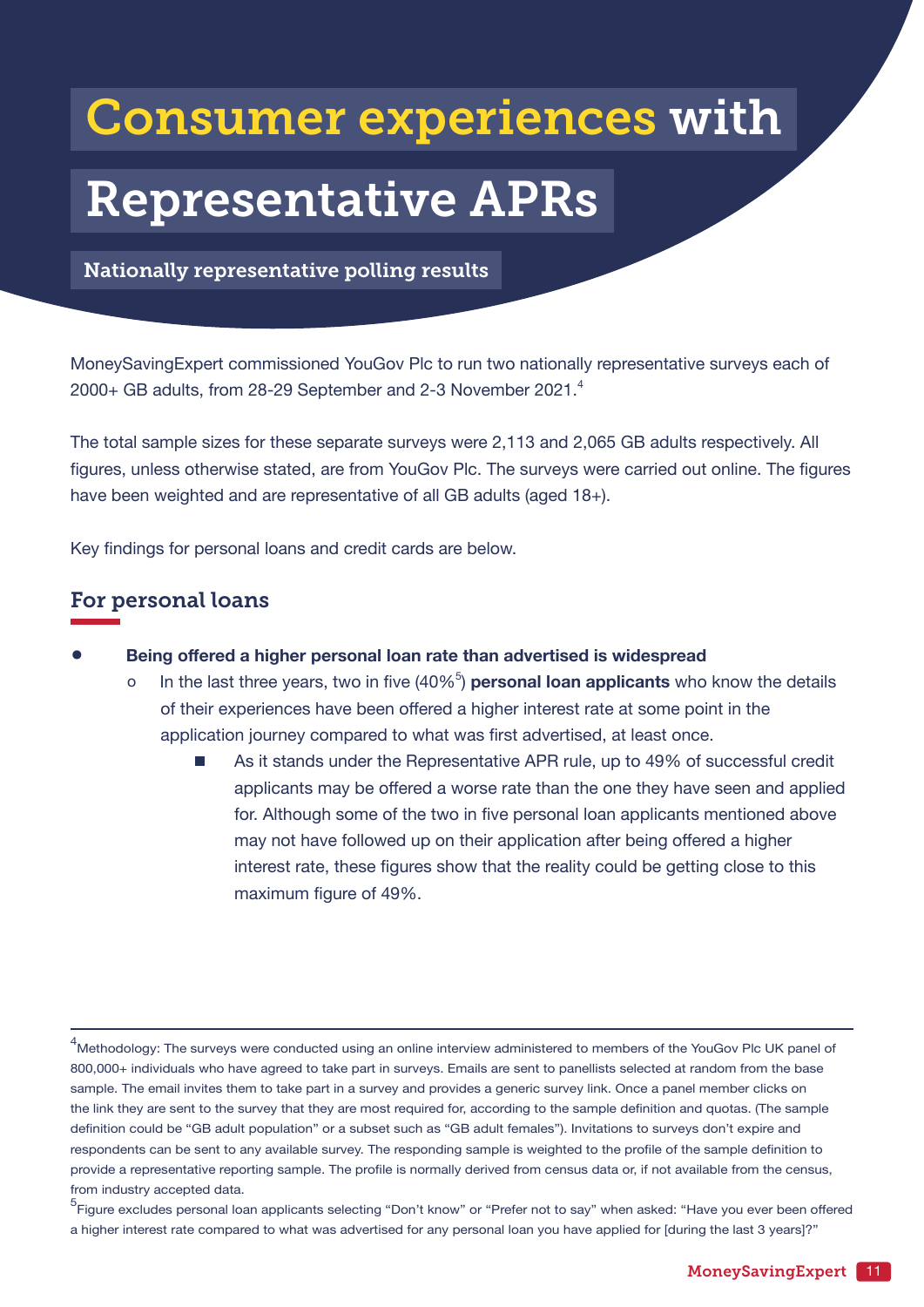## <span id="page-10-0"></span>Consumer experiences with

## Representative APRs

Nationally representative polling results

MoneySavingExpert commissioned YouGov Plc to run two nationally representative surveys each of 2000+ GB adults, from 28-29 September and 2-3 November 2021.<sup>4</sup>

The total sample sizes for these separate surveys were 2,113 and 2,065 GB adults respectively. All figures, unless otherwise stated, are from YouGov Plc. The surveys were carried out online. The figures have been weighted and are representative of all GB adults (aged 18+).

Key findings for personal loans and credit cards are below.

### For personal loans

- **Being offered a higher personal loan rate than advertised is widespread**<br>O ln the last three years two in five (40%<sup>5</sup>) **personal loan applicants** who
- o In the last three years, two in five (40%<sup>5</sup>) **personal loan applicants** who know the details of their experiences have been offered a higher interest rate at some point in the application journey compared to what was first advertised, at least once.
	- As it stands under the Representative APR rule, up to 49% of successful credit applicants may be offered a worse rate than the one they have seen and applied for. Although some of the two in five personal loan applicants mentioned above may not have followed up on their application after being offered a higher interest rate, these figures show that the reality could be getting close to this maximum figure of 49%.

<sup>&</sup>lt;sup>4</sup>Methodology: The surveys were conducted using an online interview administered to members of the YouGov Plc UK panel of 800,000+ individuals who have agreed to take part in surveys. Emails are sent to panellists selected at random from the base sample. The email invites them to take part in a survey and provides a generic survey link. Once a panel member clicks on the link they are sent to the survey that they are most required for, according to the sample definition and quotas. (The sample definition could be "GB adult population" or a subset such as "GB adult females"). Invitations to surveys don't expire and respondents can be sent to any available survey. The responding sample is weighted to the profile of the sample definition to provide a representative reporting sample. The profile is normally derived from census data or, if not available from the census, from industry accepted data.

<sup>5</sup> Figure excludes personal loan applicants selecting "Don't know" or "Prefer not to say" when asked: "Have you ever been offered a higher interest rate compared to what was advertised for any personal loan you have applied for [during the last 3 years]?"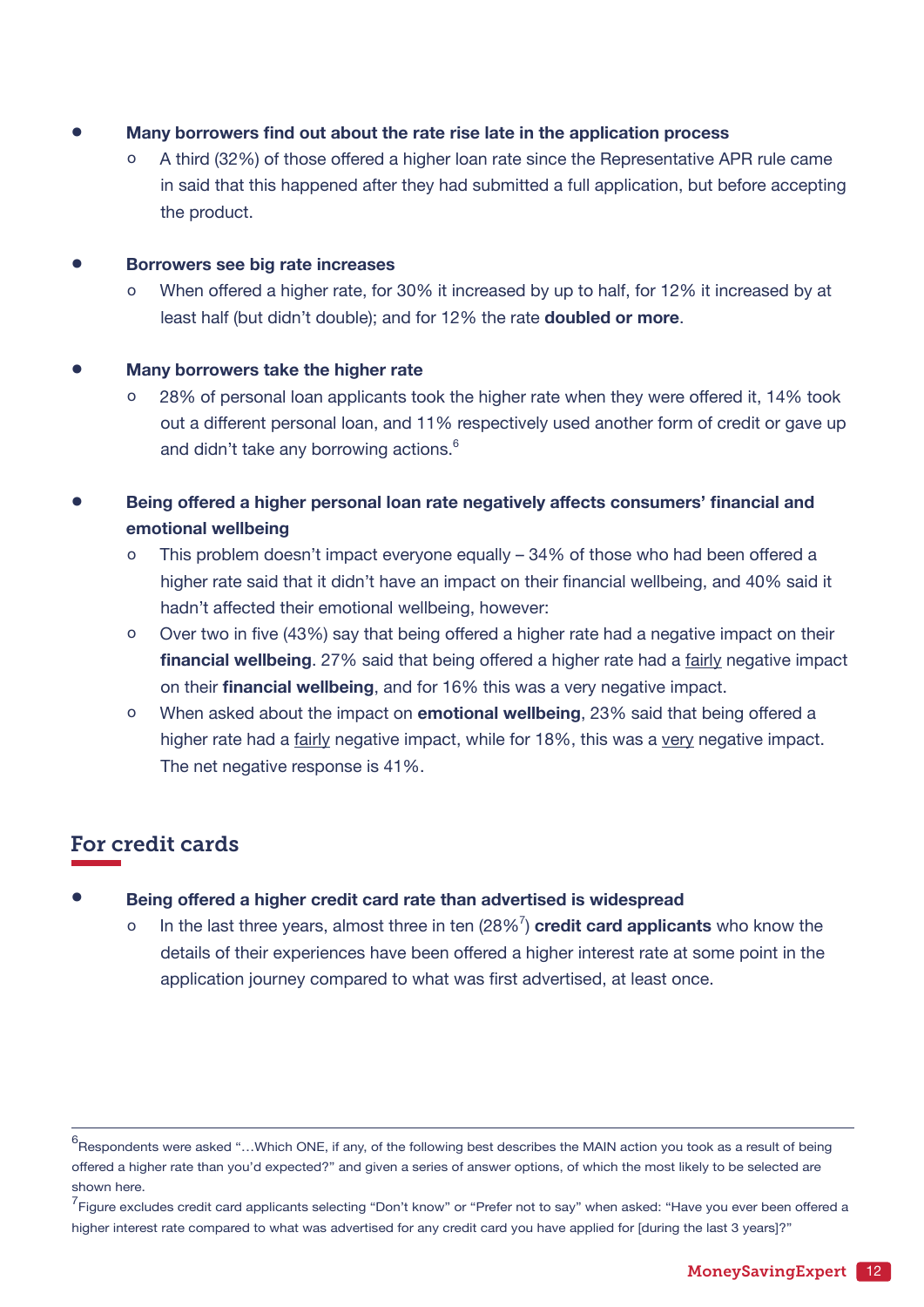- **Many borrowers find out about the rate rise late in the application process**<br>  $\alpha$  A third (32%) of those offered a bigher loan rate since the Benresentative All
	- A third (32%) of those offered a higher loan rate since the Representative APR rule came in said that this happened after they had submitted a full application, but before accepting the product.

## **Borrowers see big rate increases**<br>0 When offered a bigher rate for

When offered a higher rate, for 30% it increased by up to half, for 12% it increased by at least half (but didn't double); and for 12% the rate **doubled or more**.

#### • **Many borrowers take the higher rate**

- 28% of personal loan applicants took the higher rate when they were offered it, 14% took out a different personal loan, and 11% respectively used another form of credit or gave up and didn't take any borrowing actions.<sup>6</sup>
- **Being offered <sup>a</sup> higher personal loan rate negatively affects consumers' financial and emotional wellbeing**
	- o This problem doesn't impact everyone equally 34% of those who had been offered a higher rate said that it didn't have an impact on their financial wellbeing, and 40% said it hadn't affected their emotional wellbeing, however:
	- o Over two in five (43%) say that being offered a higher rate had a negative impact on their **financial wellbeing**. 27% said that being offered a higher rate had a fairly negative impact on their **financial wellbeing**, and for 16% this was a very negative impact.
	- o When asked about the impact on **emotional wellbeing**, 23% said that being offered a higher rate had a fairly negative impact, while for 18%, this was a very negative impact. The net negative response is 41%.

### For credit cards

- **•** Being offered a higher credit card rate than advertised is widespread o ln the last three years, almost three in ten  $(28\%)^7$  credit card applical
- o In the last three years, almost three in ten (28%7 ) **credit card applicants** who know the details of their experiences have been offered a higher interest rate at some point in the application journey compared to what was first advertised, at least once.

 $^6$ Respondents were asked "...Which ONE, if any, of the following best describes the MAIN action you took as a result of being offered a higher rate than you'd expected?" and given a series of answer options, of which the most likely to be selected are shown here.

<sup>&</sup>lt;sup>7</sup> Figure excludes credit card applicants selecting "Don't know" or "Prefer not to say" when asked: "Have you ever been offered a higher interest rate compared to what was advertised for any credit card you have applied for [during the last 3 years]?"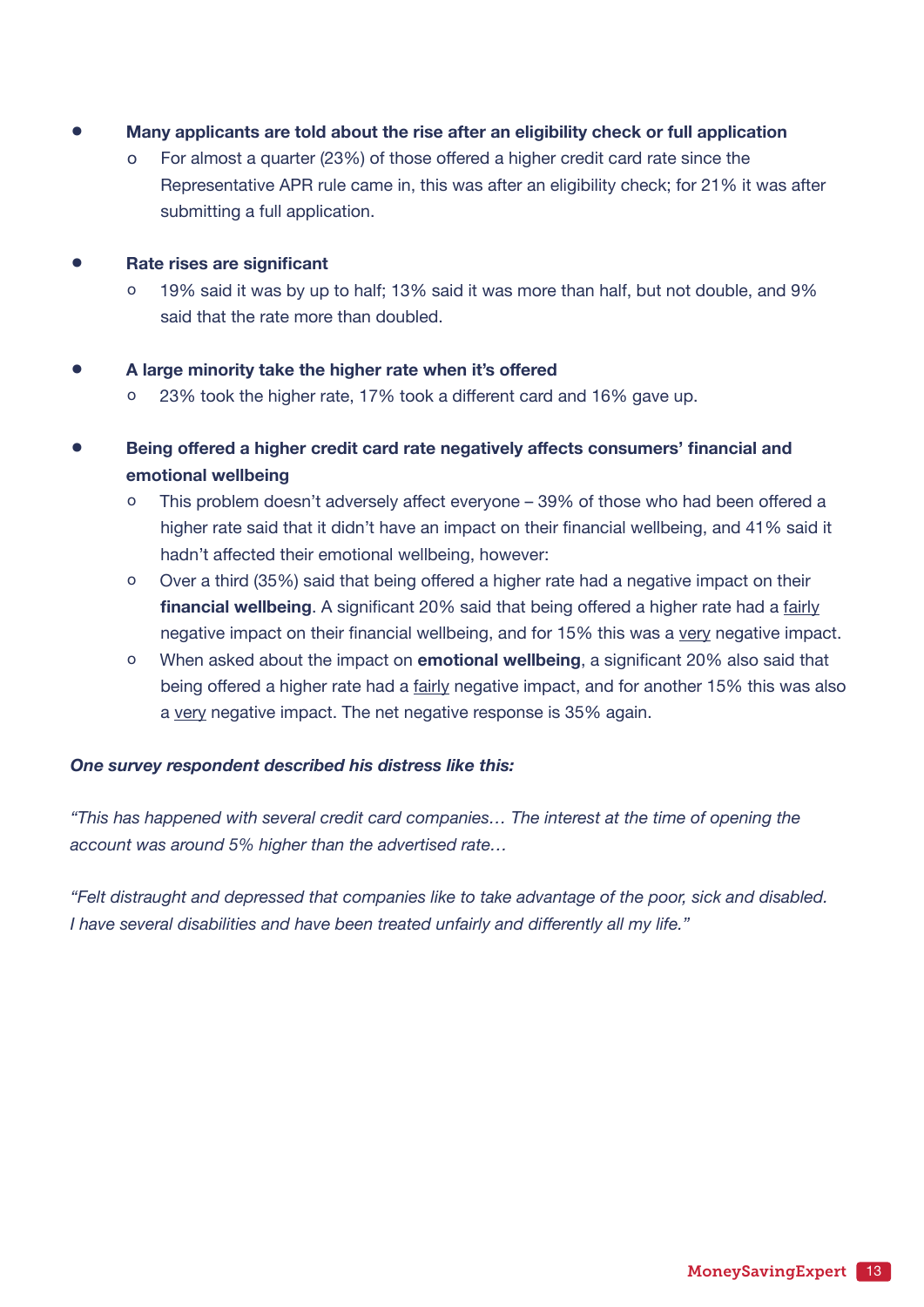- **Many applicants are told about the rise after an eligibility check or full application**<br>o For almost a quarter (23%) of those offered a higher credit card rate since the
	- For almost a quarter (23%) of those offered a higher credit card rate since the Representative APR rule came in, this was after an eligibility check; for 21% it was after submitting a full application.
- **Rate rises are significant**
	- 19% said it was by up to half; 13% said it was more than half, but not double, and 9% said that the rate more than doubled.

## • **<sup>A</sup> large minority take the higher rate when it's offered**

- 23% took the higher rate, 17% took a different card and 16% gave up.
- **Being offered <sup>a</sup> higher credit card rate negatively affects consumers' financial and emotional wellbeing**
	- o This problem doesn't adversely affect everyone 39% of those who had been offered a higher rate said that it didn't have an impact on their financial wellbeing, and 41% said it hadn't affected their emotional wellbeing, however:
	- o Over a third (35%) said that being offered a higher rate had a negative impact on their **financial wellbeing**. A significant 20% said that being offered a higher rate had a fairly negative impact on their financial wellbeing, and for 15% this was a very negative impact.
	- o When asked about the impact on **emotional wellbeing**, a significant 20% also said that being offered a higher rate had a fairly negative impact, and for another 15% this was also a very negative impact. The net negative response is 35% again.

#### *One survey respondent described his distress like this:*

*"This has happened with several credit card companies… The interest at the time of opening the account was around 5% higher than the advertised rate…*

*"Felt distraught and depressed that companies like to take advantage of the poor, sick and disabled. I have several disabilities and have been treated unfairly and differently all my life."*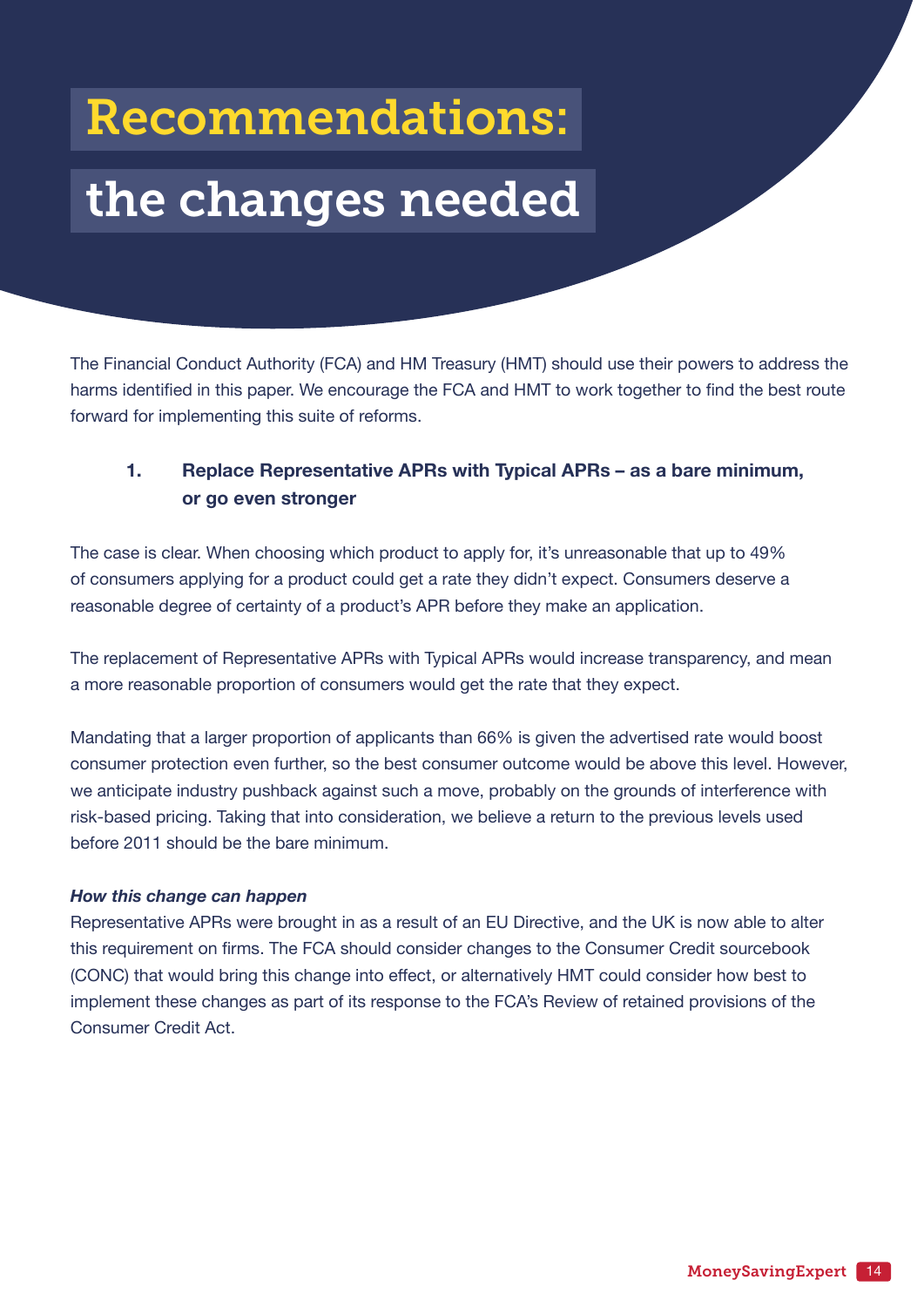## <span id="page-13-0"></span>Recommendations:

# the changes needed

The Financial Conduct Authority (FCA) and HM Treasury (HMT) should use their powers to address the harms identified in this paper. We encourage the FCA and HMT to work together to find the best route forward for implementing this suite of reforms.

### **1. Replace Representative APRs with Typical APRs – as a bare minimum, or go even stronger**

The case is clear. When choosing which product to apply for, it's unreasonable that up to 49% of consumers applying for a product could get a rate they didn't expect. Consumers deserve a reasonable degree of certainty of a product's APR before they make an application.

The replacement of Representative APRs with Typical APRs would increase transparency, and mean a more reasonable proportion of consumers would get the rate that they expect.

Mandating that a larger proportion of applicants than 66% is given the advertised rate would boost consumer protection even further, so the best consumer outcome would be above this level. However, we anticipate industry pushback against such a move, probably on the grounds of interference with risk-based pricing. Taking that into consideration, we believe a return to the previous levels used before 2011 should be the bare minimum.

#### *How this change can happen*

Representative APRs were brought in as a result of an EU Directive, and the UK is now able to alter this requirement on firms. The FCA should consider changes to the Consumer Credit sourcebook (CONC) that would bring this change into effect, or alternatively HMT could consider how best to implement these changes as part of its response to the FCA's Review of retained provisions of the Consumer Credit Act.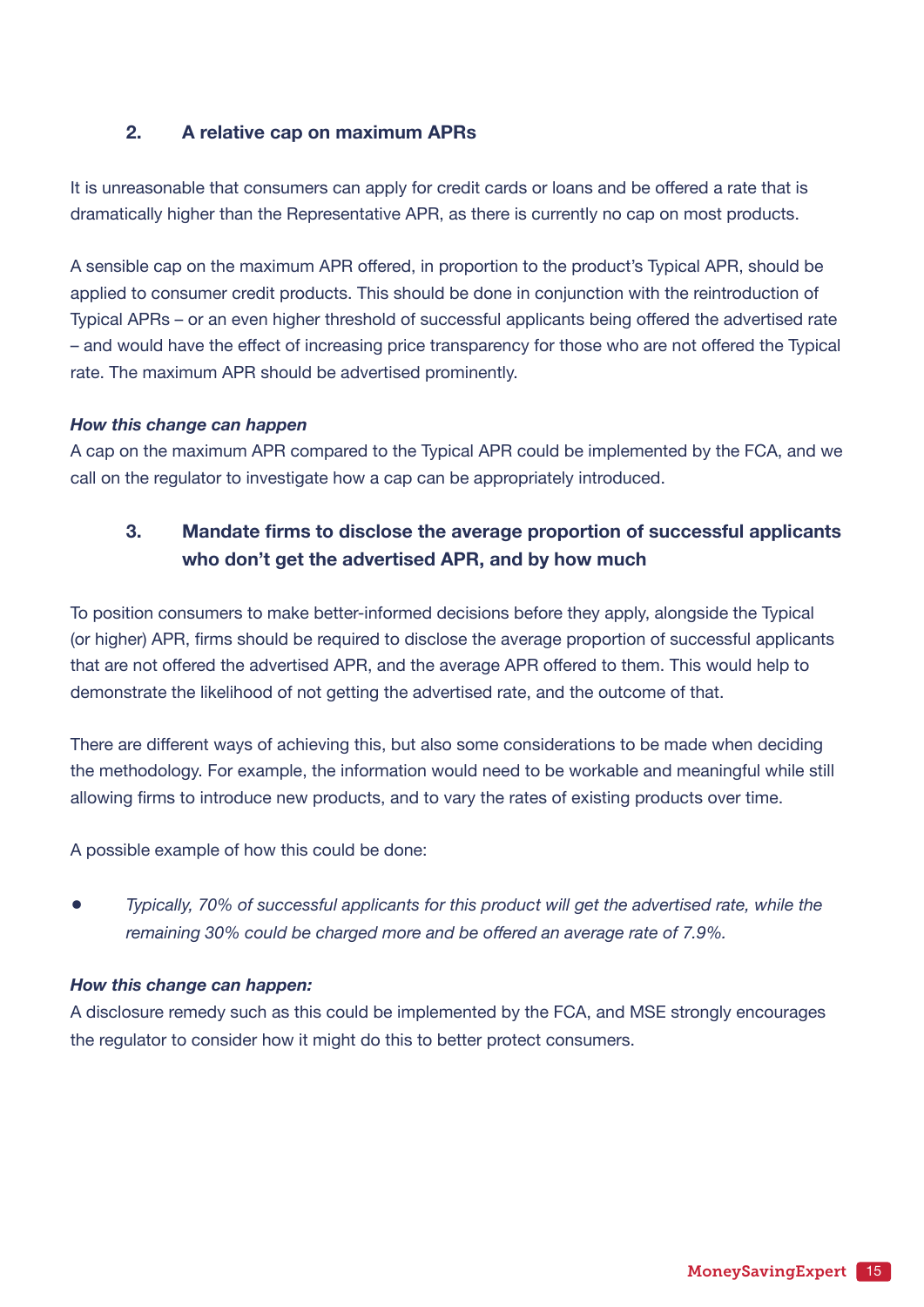#### **2. A relative cap on maximum APRs**

It is unreasonable that consumers can apply for credit cards or loans and be offered a rate that is dramatically higher than the Representative APR, as there is currently no cap on most products.

A sensible cap on the maximum APR offered, in proportion to the product's Typical APR, should be applied to consumer credit products. This should be done in conjunction with the reintroduction of Typical APRs – or an even higher threshold of successful applicants being offered the advertised rate – and would have the effect of increasing price transparency for those who are not offered the Typical rate. The maximum APR should be advertised prominently.

#### *How this change can happen*

A cap on the maximum APR compared to the Typical APR could be implemented by the FCA, and we call on the regulator to investigate how a cap can be appropriately introduced.

### **3. Mandate firms to disclose the average proportion of successful applicants who don't get the advertised APR, and by how much**

To position consumers to make better-informed decisions before they apply, alongside the Typical (or higher) APR, firms should be required to disclose the average proportion of successful applicants that are not offered the advertised APR, and the average APR offered to them. This would help to demonstrate the likelihood of not getting the advertised rate, and the outcome of that.

There are different ways of achieving this, but also some considerations to be made when deciding the methodology. For example, the information would need to be workable and meaningful while still allowing firms to introduce new products, and to vary the rates of existing products over time.

A possible example of how this could be done:

• *Typically, 70% of successful applicants for this product will get the advertised rate, while the remaining 30% could be charged more and be offered an average rate of 7.9%.*

#### *How this change can happen:*

A disclosure remedy such as this could be implemented by the FCA, and MSE strongly encourages the regulator to consider how it might do this to better protect consumers.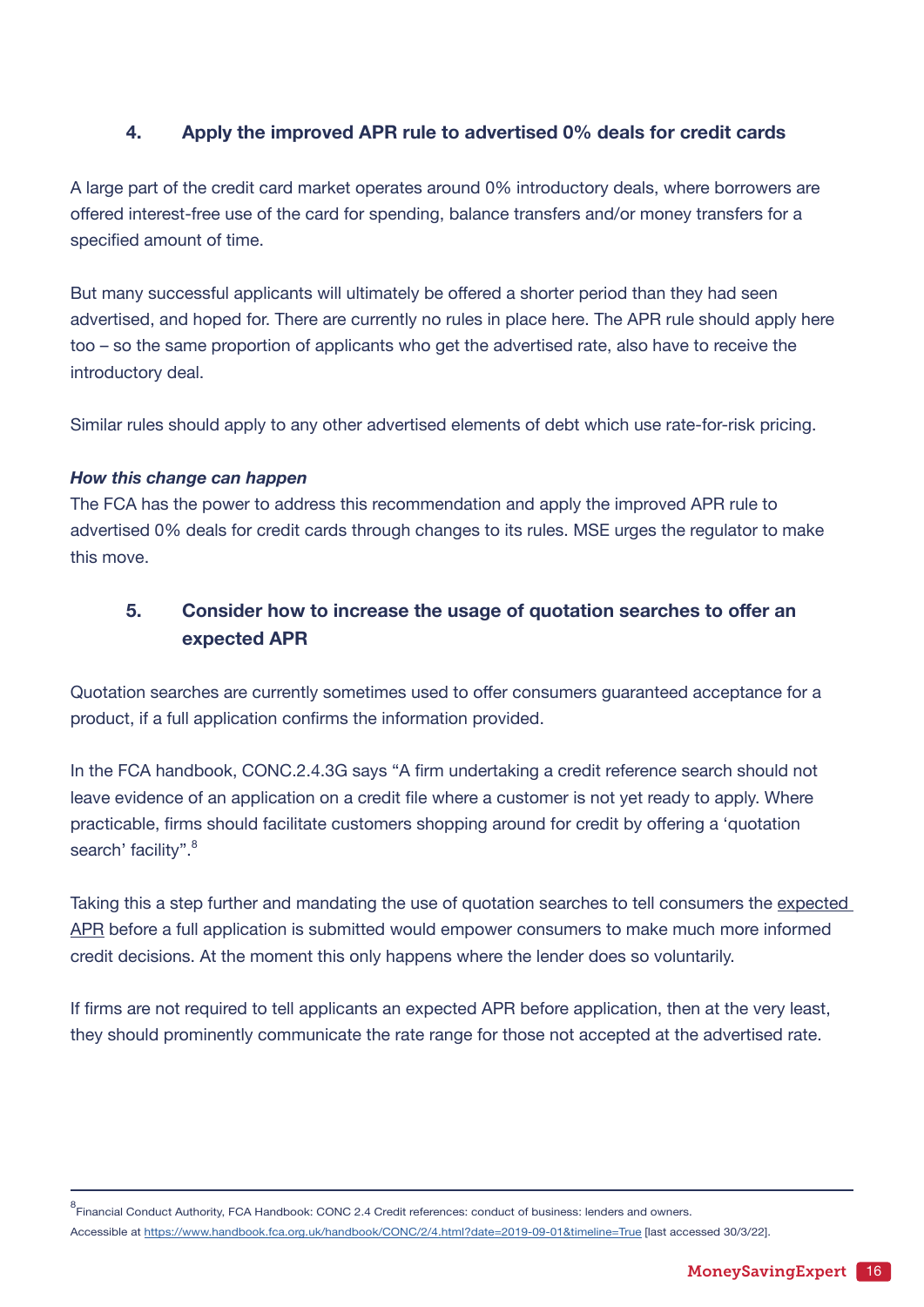#### **4. Apply the improved APR rule to advertised 0% deals for credit cards**

A large part of the credit card market operates around 0% introductory deals, where borrowers are offered interest-free use of the card for spending, balance transfers and/or money transfers for a specified amount of time.

But many successful applicants will ultimately be offered a shorter period than they had seen advertised, and hoped for. There are currently no rules in place here. The APR rule should apply here too – so the same proportion of applicants who get the advertised rate, also have to receive the introductory deal.

Similar rules should apply to any other advertised elements of debt which use rate-for-risk pricing.

#### *How this change can happen*

The FCA has the power to address this recommendation and apply the improved APR rule to advertised 0% deals for credit cards through changes to its rules. MSE urges the regulator to make this move.

### **5. Consider how to increase the usage of quotation searches to offer an expected APR**

Quotation searches are currently sometimes used to offer consumers guaranteed acceptance for a product, if a full application confirms the information provided.

In the FCA handbook, CONC.2.4.3G says "A firm undertaking a credit reference search should not leave evidence of an application on a credit file where a customer is not yet ready to apply. Where practicable, firms should facilitate customers shopping around for credit by offering a 'quotation search' facility".<sup>8</sup>

Taking this a step further and mandating the use of quotation searches to tell consumers the expected APR before a full application is submitted would empower consumers to make much more informed credit decisions. At the moment this only happens where the lender does so voluntarily.

If firms are not required to tell applicants an expected APR before application, then at the very least, they should prominently communicate the rate range for those not accepted at the advertised rate.

<sup>&</sup>lt;sub>8</sub><br>Financial Conduct Authority, FCA Handbook: CONC 2.4 Credit references: conduct of business: lenders and owners.

Accessible at <https://www.handbook.fca.org.uk/handbook/CONC/2/4.html?date=2019-09-01&timeline=True> [last accessed 30/3/22].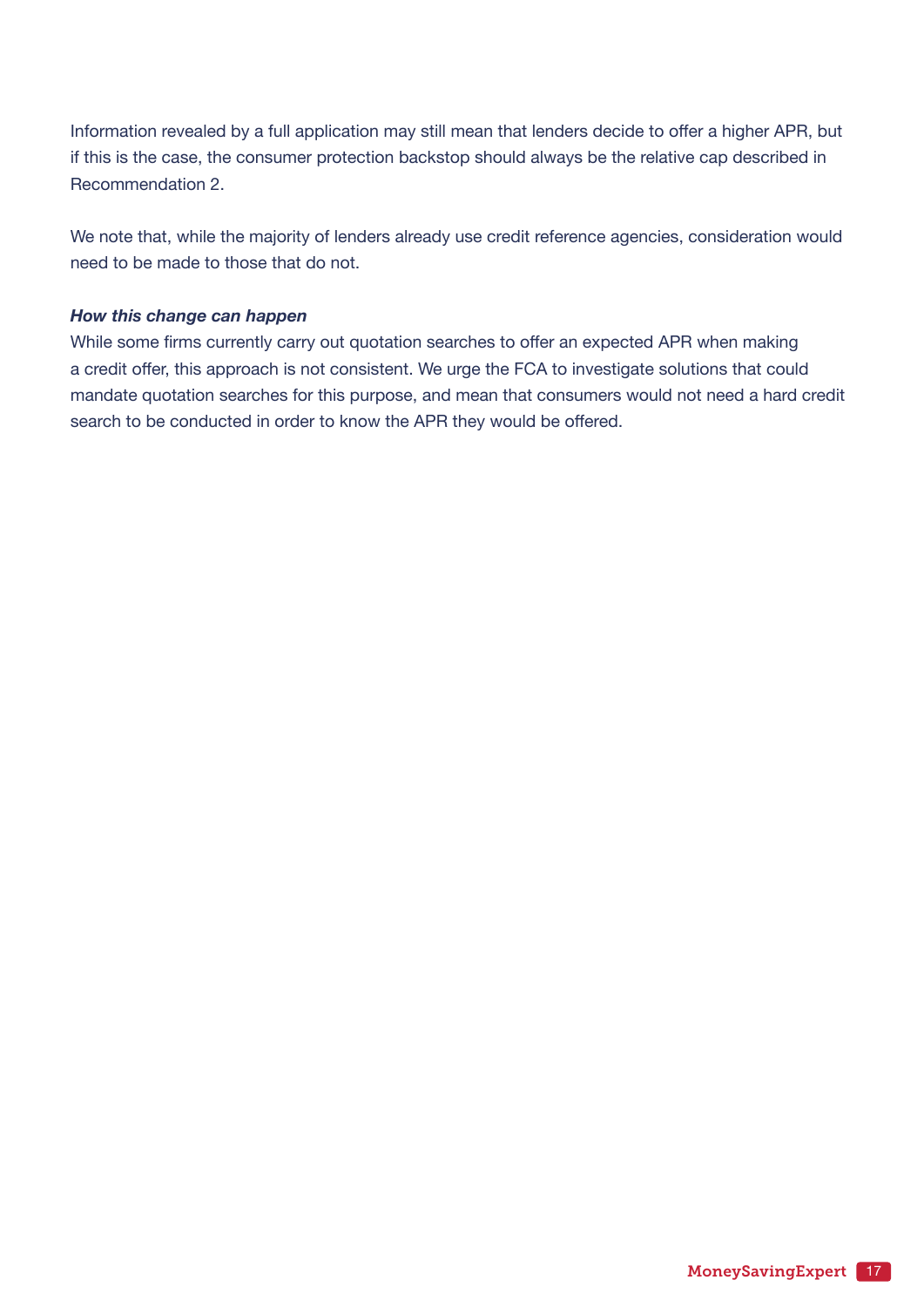Information revealed by a full application may still mean that lenders decide to offer a higher APR, but if this is the case, the consumer protection backstop should always be the relative cap described in Recommendation 2.

We note that, while the majority of lenders already use credit reference agencies, consideration would need to be made to those that do not.

#### *How this change can happen*

While some firms currently carry out quotation searches to offer an expected APR when making a credit offer, this approach is not consistent. We urge the FCA to investigate solutions that could mandate quotation searches for this purpose, and mean that consumers would not need a hard credit search to be conducted in order to know the APR they would be offered.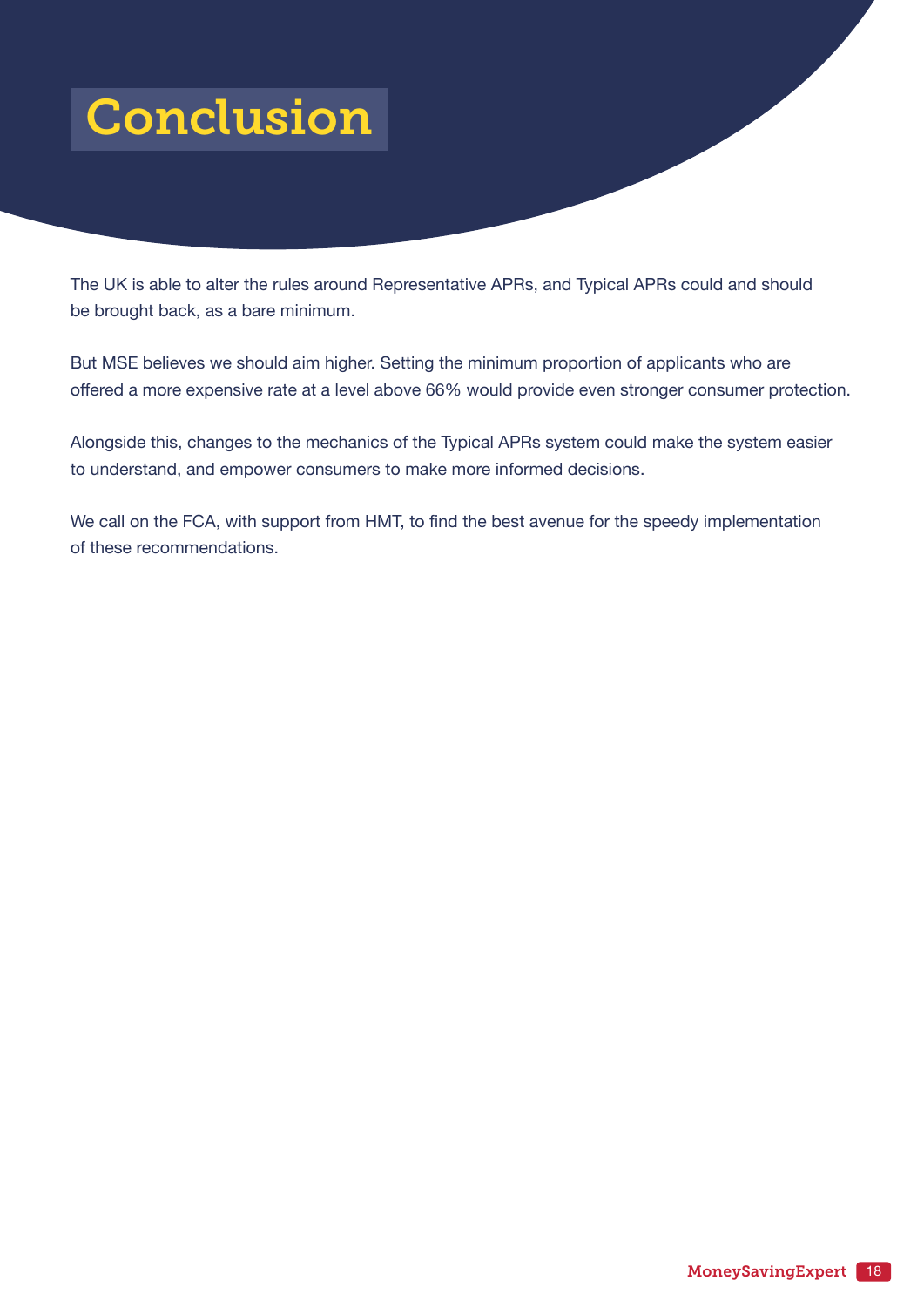## <span id="page-17-0"></span>Conclusion

The UK is able to alter the rules around Representative APRs, and Typical APRs could and should be brought back, as a bare minimum.

But MSE believes we should aim higher. Setting the minimum proportion of applicants who are offered a more expensive rate at a level above 66% would provide even stronger consumer protection.

Alongside this, changes to the mechanics of the Typical APRs system could make the system easier to understand, and empower consumers to make more informed decisions.

We call on the FCA, with support from HMT, to find the best avenue for the speedy implementation of these recommendations.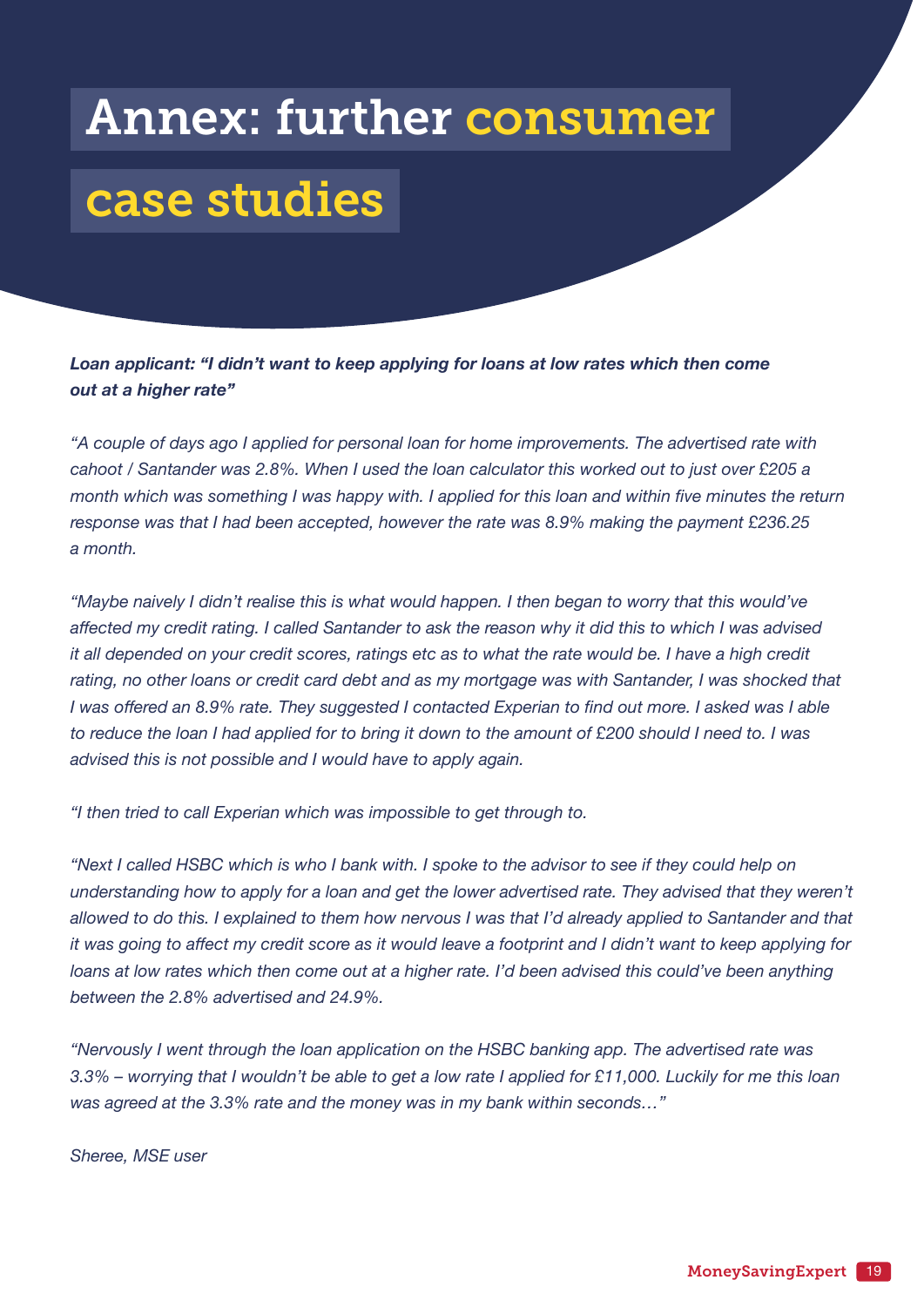## <span id="page-18-0"></span>Annex: further consumer

## case studies

*Loan applicant: "I didn't want to keep applying for loans at low rates which then come out at a higher rate"*

*"A couple of days ago I applied for personal loan for home improvements. The advertised rate with cahoot / Santander was 2.8%. When I used the loan calculator this worked out to just over £205 a month which was something I was happy with. I applied for this loan and within five minutes the return response was that I had been accepted, however the rate was 8.9% making the payment £236.25 a month.*

*"Maybe naively I didn't realise this is what would happen. I then began to worry that this would've affected my credit rating. I called Santander to ask the reason why it did this to which I was advised it all depended on your credit scores, ratings etc as to what the rate would be. I have a high credit rating, no other loans or credit card debt and as my mortgage was with Santander, I was shocked that I was offered an 8.9% rate. They suggested I contacted Experian to find out more. I asked was I able to reduce the loan I had applied for to bring it down to the amount of £200 should I need to. I was advised this is not possible and I would have to apply again.* 

*"I then tried to call Experian which was impossible to get through to.* 

*"Next I called HSBC which is who I bank with. I spoke to the advisor to see if they could help on understanding how to apply for a loan and get the lower advertised rate. They advised that they weren't allowed to do this. I explained to them how nervous I was that I'd already applied to Santander and that it was going to affect my credit score as it would leave a footprint and I didn't want to keep applying for loans at low rates which then come out at a higher rate. I'd been advised this could've been anything between the 2.8% advertised and 24.9%.*

*"Nervously I went through the loan application on the HSBC banking app. The advertised rate was 3.3% – worrying that I wouldn't be able to get a low rate I applied for £11,000. Luckily for me this loan was agreed at the 3.3% rate and the money was in my bank within seconds…"*

*Sheree, MSE user*